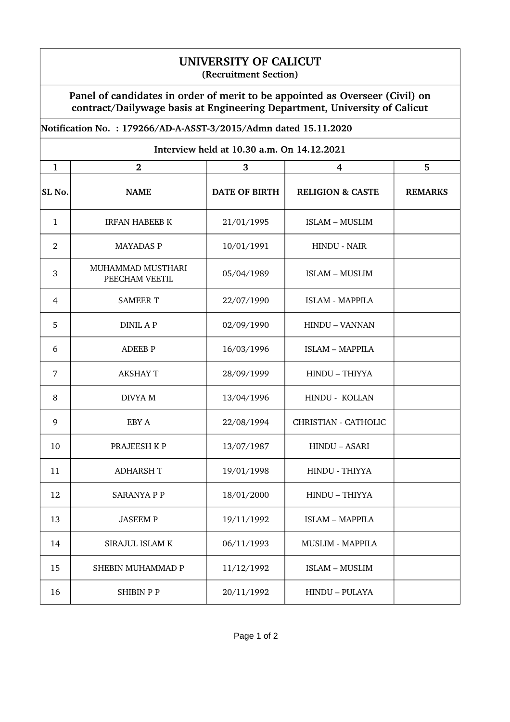## **UNIVERSITY OF CALICUT (Recruitment Section)**

**Panel of candidates in order of merit to be appointed as Overseer (Civil) on contract/Dailywage basis at Engineering Department, University of Calicut**

## **Notification No. : 179266/ADAASST3/2015/Admn dated 15.11.2020**

| Interview held at 10.30 a.m. On 14.12.2021 |                                     |                      |                             |                |  |  |
|--------------------------------------------|-------------------------------------|----------------------|-----------------------------|----------------|--|--|
| $\mathbf{1}$                               | $\overline{2}$                      | 3                    | 4                           | 5              |  |  |
| SL No.                                     | <b>NAME</b>                         | <b>DATE OF BIRTH</b> | <b>RELIGION &amp; CASTE</b> | <b>REMARKS</b> |  |  |
| $\mathbf{1}$                               | <b>IRFAN HABEEB K</b>               | 21/01/1995           | <b>ISLAM - MUSLIM</b>       |                |  |  |
| $\overline{2}$                             | <b>MAYADAS P</b>                    | 10/01/1991           | <b>HINDU - NAIR</b>         |                |  |  |
| 3                                          | MUHAMMAD MUSTHARI<br>PEECHAM VEETIL | 05/04/1989           | <b>ISLAM - MUSLIM</b>       |                |  |  |
| 4                                          | <b>SAMEER T</b>                     | 22/07/1990           | <b>ISLAM - MAPPILA</b>      |                |  |  |
| 5                                          | <b>DINIL AP</b>                     | 02/09/1990           | HINDU - VANNAN              |                |  |  |
| 6                                          | <b>ADEEB P</b>                      | 16/03/1996           | <b>ISLAM - MAPPILA</b>      |                |  |  |
| 7                                          | <b>AKSHAY T</b>                     | 28/09/1999           | HINDU - THIYYA              |                |  |  |
| 8                                          | DIVYA M                             | 13/04/1996           | HINDU - KOLLAN              |                |  |  |
| 9                                          | EBY A                               | 22/08/1994           | CHRISTIAN - CATHOLIC        |                |  |  |
| 10                                         | PRAJEESH KP                         | 13/07/1987           | HINDU - ASARI               |                |  |  |
| 11                                         | <b>ADHARSH T</b>                    | 19/01/1998           | HINDU - THIYYA              |                |  |  |
| 12                                         | <b>SARANYA P P</b>                  | 18/01/2000           | HINDU - THIYYA              |                |  |  |
| 13                                         | JASEEM P                            | 19/11/1992           | <b>ISLAM - MAPPILA</b>      |                |  |  |
| 14                                         | SIRAJUL ISLAM K                     | 06/11/1993           | <b>MUSLIM - MAPPILA</b>     |                |  |  |
| 15                                         | SHEBIN MUHAMMAD P                   | 11/12/1992           | <b>ISLAM - MUSLIM</b>       |                |  |  |
| 16                                         | <b>SHIBIN P P</b>                   | 20/11/1992           | HINDU - PULAYA              |                |  |  |